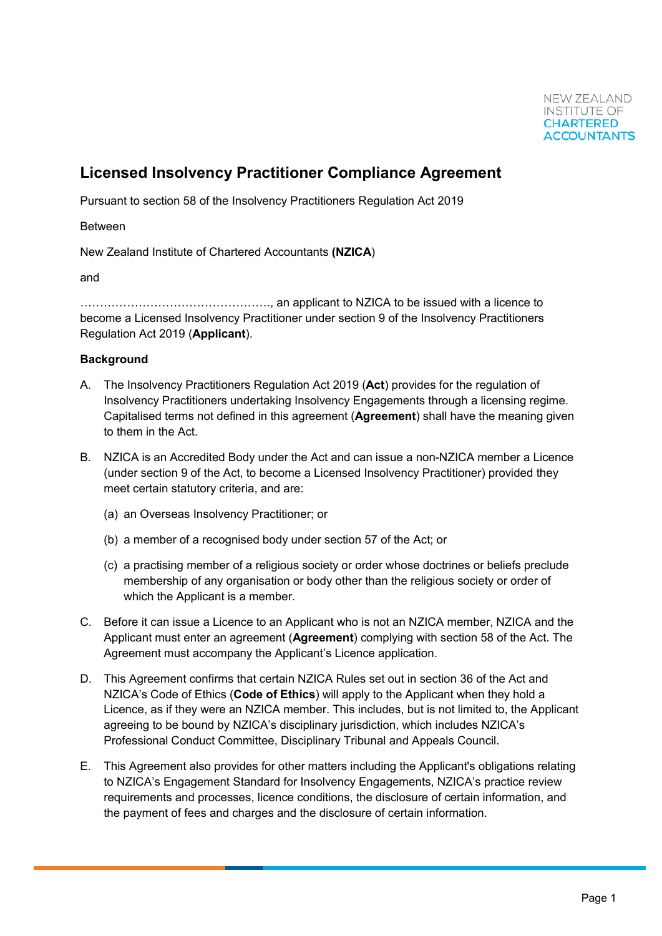# **Licensed Insolvency Practitioner Compliance Agreement**

Pursuant to section 58 of the Insolvency Practitioners Regulation Act 2019

Between

New Zealand Institute of Chartered Accountants **(NZICA**)

and

…………………………………………., an applicant to NZICA to be issued with a licence to become a Licensed Insolvency Practitioner under section 9 of the Insolvency Practitioners Regulation Act 2019 (**Applicant**).

## **Background**

- A. The Insolvency Practitioners Regulation Act 2019 (**Act**) provides for the regulation of Insolvency Practitioners undertaking Insolvency Engagements through a licensing regime. Capitalised terms not defined in this agreement (**Agreement**) shall have the meaning given to them in the Act.
- B. NZICA is an Accredited Body under the Act and can issue a non-NZICA member a Licence (under section 9 of the Act, to become a Licensed Insolvency Practitioner) provided they meet certain statutory criteria, and are:
	- (a) an Overseas Insolvency Practitioner; or
	- (b) a member of a recognised body under section 57 of the Act; or
	- (c) a practising member of a religious society or order whose doctrines or beliefs preclude membership of any organisation or body other than the religious society or order of which the Applicant is a member.
- C. Before it can issue a Licence to an Applicant who is not an NZICA member, NZICA and the Applicant must enter an agreement (**Agreement**) complying with section 58 of the Act. The Agreement must accompany the Applicant's Licence application.
- D. This Agreement confirms that certain NZICA Rules set out in section 36 of the Act and NZICA's Code of Ethics (**Code of Ethics**) will apply to the Applicant when they hold a Licence, as if they were an NZICA member. This includes, but is not limited to, the Applicant agreeing to be bound by NZICA's disciplinary jurisdiction, which includes NZICA's Professional Conduct Committee, Disciplinary Tribunal and Appeals Council.
- E. This Agreement also provides for other matters including the Applicant's obligations relating to NZICA's Engagement Standard for Insolvency Engagements, NZICA's practice review requirements and processes, licence conditions, the disclosure of certain information, and the payment of fees and charges and the disclosure of certain information.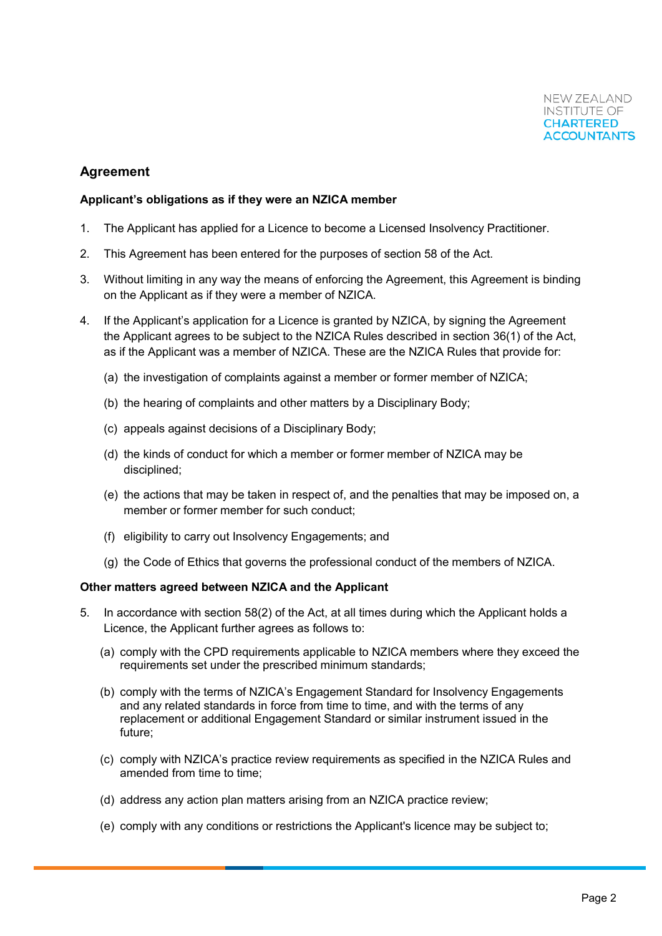# **Agreement**

#### **Applicant's obligations as if they were an NZICA member**

- 1. The Applicant has applied for a Licence to become a Licensed Insolvency Practitioner.
- 2. This Agreement has been entered for the purposes of section 58 of the Act.
- 3. Without limiting in any way the means of enforcing the Agreement, this Agreement is binding on the Applicant as if they were a member of NZICA.
- 4. If the Applicant's application for a Licence is granted by NZICA, by signing the Agreement the Applicant agrees to be subject to the NZICA Rules described in section 36(1) of the Act, as if the Applicant was a member of NZICA. These are the NZICA Rules that provide for:
	- (a) the investigation of complaints against a member or former member of NZICA;
	- (b) the hearing of complaints and other matters by a Disciplinary Body;
	- (c) appeals against decisions of a Disciplinary Body;
	- (d) the kinds of conduct for which a member or former member of NZICA may be disciplined;
	- (e) the actions that may be taken in respect of, and the penalties that may be imposed on, a member or former member for such conduct;
	- (f) eligibility to carry out Insolvency Engagements; and
	- (g) the Code of Ethics that governs the professional conduct of the members of NZICA.

#### **Other matters agreed between NZICA and the Applicant**

- 5. In accordance with section 58(2) of the Act, at all times during which the Applicant holds a Licence, the Applicant further agrees as follows to:
	- (a) comply with the CPD requirements applicable to NZICA members where they exceed the requirements set under the prescribed minimum standards;
	- (b) comply with the terms of NZICA's Engagement Standard for Insolvency Engagements and any related standards in force from time to time, and with the terms of any replacement or additional Engagement Standard or similar instrument issued in the future;
	- (c) comply with NZICA's practice review requirements as specified in the NZICA Rules and amended from time to time;
	- (d) address any action plan matters arising from an NZICA practice review;
	- (e) comply with any conditions or restrictions the Applicant's licence may be subject to;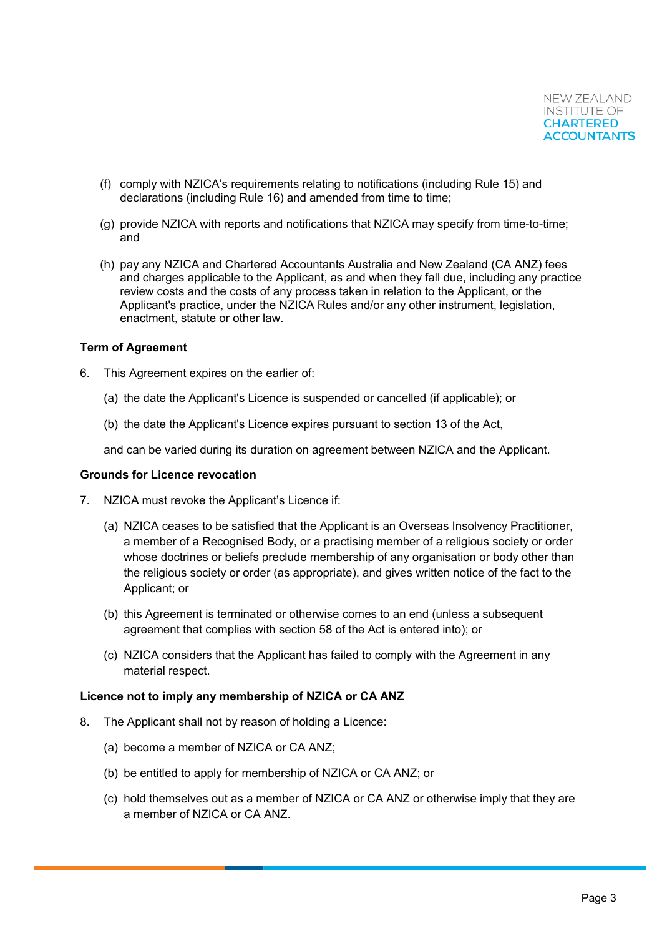- (f) comply with NZICA's requirements relating to notifications (including Rule 15) and declarations (including Rule 16) and amended from time to time;
- (g) provide NZICA with reports and notifications that NZICA may specify from time-to-time; and
- (h) pay any NZICA and Chartered Accountants Australia and New Zealand (CA ANZ) fees and charges applicable to the Applicant, as and when they fall due, including any practice review costs and the costs of any process taken in relation to the Applicant, or the Applicant's practice, under the NZICA Rules and/or any other instrument, legislation, enactment, statute or other law.

#### **Term of Agreement**

- 6. This Agreement expires on the earlier of:
	- (a) the date the Applicant's Licence is suspended or cancelled (if applicable); or
	- (b) the date the Applicant's Licence expires pursuant to section 13 of the Act,

and can be varied during its duration on agreement between NZICA and the Applicant.

#### **Grounds for Licence revocation**

- 7. NZICA must revoke the Applicant's Licence if:
	- (a) NZICA ceases to be satisfied that the Applicant is an Overseas Insolvency Practitioner, a member of a Recognised Body, or a practising member of a religious society or order whose doctrines or beliefs preclude membership of any organisation or body other than the religious society or order (as appropriate), and gives written notice of the fact to the Applicant; or
	- (b) this Agreement is terminated or otherwise comes to an end (unless a subsequent agreement that complies with section 58 of the Act is entered into); or
	- (c) NZICA considers that the Applicant has failed to comply with the Agreement in any material respect.

#### **Licence not to imply any membership of NZICA or CA ANZ**

- 8. The Applicant shall not by reason of holding a Licence:
	- (a) become a member of NZICA or CA ANZ;
	- (b) be entitled to apply for membership of NZICA or CA ANZ; or
	- (c) hold themselves out as a member of NZICA or CA ANZ or otherwise imply that they are a member of NZICA or CA ANZ.